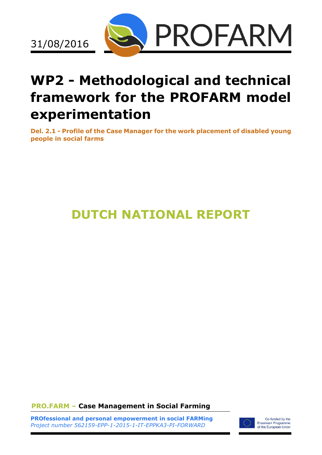

# **WP2 - Methodological and technical framework for the PROFARM model experimentation**

**Del. 2.1 - Profile of the Case Manager for the work placement of disabled young people in social farms**

## **DUTCH NATIONAL REPORT**

**PRO.FARM – Case Management in Social Farming**

**PROfessional and personal empowerment in social FARMing** *Project number 562159-EPP-1-2015-1-IT-EPPKA3-PI-FORWARD*



Co-funded by the Erasmus+ Programme<br>of the European Union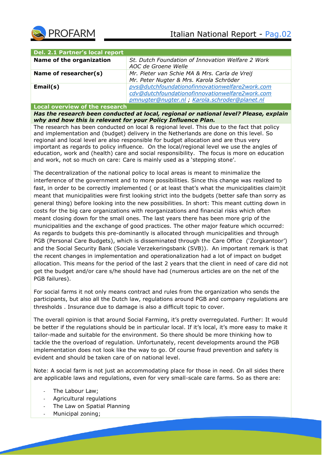

| Del. 2.1 Partner's local report |                                                                                                                                                     |
|---------------------------------|-----------------------------------------------------------------------------------------------------------------------------------------------------|
| Name of the organization        | St. Dutch Foundation of Innovation Welfare 2 Work<br>AOC de Groene Welle                                                                            |
| Name of researcher(s)           | Mr. Pieter van Schie MA & Mrs. Carla de Vreij<br>Mr. Peter Nugter & Mrs. Karola Schröder                                                            |
| Email(s)                        | pvs@dutchfoundationofinnovationwelfare2work.com<br>cdv@dutchfoundationofinnovationwelfare2work.com<br>pmnugter@nugter.nl, Karola.schroder@planet.nl |
|                                 |                                                                                                                                                     |

**Local overview of the research** *Has the research been conducted at local, regional or national level? Please, explain why and how this is relevant for your Policy Influence Plan.*

The research has been conducted on local & regional level. This due to the fact that policy and implementation and (budget) delivery in the Netherlands are done on this level. So regional and local level are also responsible for budget allocation and are thus very important as regards to policy influence. On the local/regional level we use the angles of education, work and (health) care and social responsibility. The focus is more on education and work, not so much on care: Care is mainly used as a 'stepping stone'.

The decentralization of the national policy to local areas is meant to minimalize the interference of the government and to more possibilities. Since this change was realized to fast, in order to be correctly implemented ( or at least that's what the municipalities claim)it meant that municipalities were first looking strict into the budgets (better safe than sorry as general thing) before looking into the new possibilities. In short: This meant cutting down in costs for the big care organizations with reorganizations and financial risks which often meant closing down for the small ones. The last years there has been more grip of the municipalities and the exchange of good practices. The other major feature which occurred: As regards to budgets this pre-dominantly is allocated through municipalities and through PGB (Personal Care Budgets), which is disseminated through the Care Office ('Zorgkantoor') and the Social Security Bank (Sociale Verzekeringsbank (SVB)). An important remark is that the recent changes in implementation and operationalization had a lot of impact on budget allocation. This means for the period of the last 2 years that the client in need of care did not get the budget and/or care s/he should have had (numerous articles are on the net of the PGB failures).

For social farms it not only means contract and rules from the organization who sends the participants, but also all the Dutch law, regulations around PGB and company regulations are thresholds . Insurance due to damage is also a difficult topic to cover.

The overall opinion is that around Social Farming, it's pretty overregulated. Further: It would be better if the regulations should be in particular local. If it's local, it's more easy to make it tailor-made and suitable for the environment. So there should be more thinking how to tackle the the overload of regulation. Unfortunately, recent developments around the PGB implementation does not look like the way to go. Of course fraud prevention and safety is evident and should be taken care of on national level.

Note: A social farm is not just an accommodating place for those in need. On all sides there are applicable laws and regulations, even for very small-scale care farms. So as there are:

- The Labour Law;
- Agricultural regulations
- The Law on Spatial Planning
- Municipal zoning;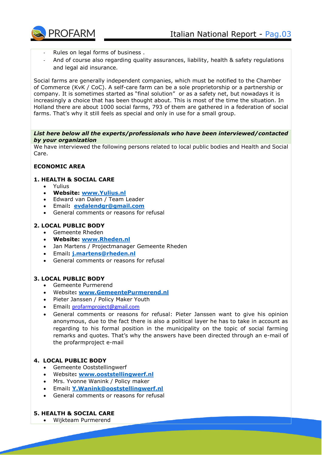- Rules on legal forms of business.
- And of course also regarding quality assurances, liability, health & safety regulations and legal aid insurance.

Social farms are generally independent companies, which must be notified to the Chamber of Commerce (KvK / CoC). A self-care farm can be a sole proprietorship or a partnership or company. It is sometimes started as "final solution" or as a safety net, but nowadays it is increasingly a choice that has been thought about. This is most of the time the situation. In Holland there are about 1000 social farms, 793 of them are gathered in a federation of social farms. That's why it still feels as special and only in use for a small group.

*List here below all the experts/professionals who have been interviewed/contacted by your organization*

We have interviewed the following persons related to local public bodies and Health and Social Care.

## **ECONOMIC AREA**

## **1. HEALTH & SOCIAL CARE**

- Yulius
- **Website: [www.Yulius.nl](http://www.yulius.nl/)**
- Edward van Dalen / Team Leader
- Email**: [evdalendgr@gmail.com](mailto:evdalendgr@gmail.com)**
- General comments or reasons for refusal

## **2. LOCAL PUBLIC BODY**

- Gemeente Rheden
- **Website: [www.Rheden.nl](http://www.rheden.nl/)**
- Jan Martens / Projectmanager Gemeente Rheden
- Email**: [j.martens@rheden.nl](mailto:j.martens@rheden.nl)**
- General comments or reasons for refusal

## **3. LOCAL PUBLIC BODY**

- Gemeente Purmerend
- Website**: [www.GemeentePurmerend.nl](http://www.gemeentepurmerend.nl/)**
- Pieter Janssen / Policy Maker Youth
- Email**:** [profarmproject@gmail.com](mailto:profarmproject@gmail.com)
- General comments or reasons for refusal: Pieter Janssen want to give his opinion anonymous, due to the fact there is also a political layer he has to take in account as regarding to his formal position in the municipality on the topic of social farming remarks and quotes. That's why the answers have been directed through an e-mail of the profarmproject e-mail

## **4. LOCAL PUBLIC BODY**

- Gemeente Ooststellingwerf
- Website**: [www.ooststellingwerf.nl](http://www.ooststellingwerf.nl/)**
- Mrs. Yvonne Wanink / Policy maker
- Email**: [Y.Wanink@ooststellingwerf.nl](mailto:Y.Wanink@ooststellingwerf.nl)**
- General comments or reasons for refusal

## **5. HEALTH & SOCIAL CARE**

Wijkteam Purmerend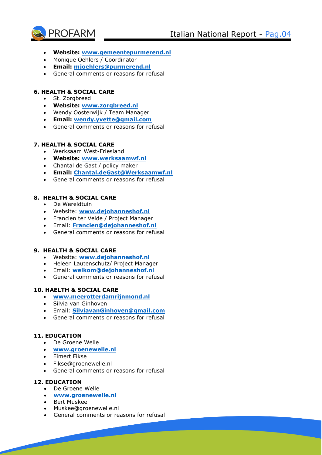

- **Website: [www.gemeentepurmerend.nl](http://www.gemeentepurmerend.nl/)**
- Monique Oehlers / Coordinator
- **Email: [mjoehlers@purmerend.nl](mailto:mjoehlers@purmerend.nl)**
- General comments or reasons for refusal

## **6. HEALTH & SOCIAL CARE**

- St. Zorgbreed
- **Website: [www.zorgbreed.nl](http://www.zorgbreed.nl/)**
- Wendy Oosterwijk / Team Manager
- **Email: [wendy.yvette@gmail.com](mailto:wendy.yvette@gmail.com)**
- General comments or reasons for refusal

#### **7. HEALTH & SOCIAL CARE**

- Werksaam West-Friesland
- **Website: [www.werksaamwf.nl](http://www.werksaamwf.nl/)**
- Chantal de Gast / policy maker
- **Email: [Chantal.deGast@Werksaamwf.nl](mailto:Chantal.deGast@Werksaamwf.nl)**
- General comments or reasons for refusal

## **8. HEALTH & SOCIAL CARE**

- De Wereldtuin
- Website: **[www.dejohanneshof.nl](http://www.dejohanneshof.nl/)**
- Francien ter Velde / Project Manager
- Email: **[Francien@dejohanneshof.nl](mailto:Francien@dejohanneshof.nl)**
- General comments or reasons for refusal

## **9. HEALTH & SOCIAL CARE**

- Website: **[www.dejohanneshof.nl](http://www.dejohanneshof.nl/)**
- Heleen Lautenschutz/ Project Manager
- Email: **[welkom@dejohanneshof.nl](mailto:welkom@dejohanneshof.nl)**
- General comments or reasons for refusal

## **10. HAELTH & SOCIAL CARE**

- **[www.meerotterdamrijnmond.nl](http://www.meerotterdamrijnmond.nl/)**
- Silvia van Ginhoven
- Email: **[SilviavanGinhoven@gmail.com](mailto:SilviavanGinhoven@gmail.com)**
- General comments or reasons for refusal

## **11. EDUCATION**

- De Groene Welle
- **[www.groenewelle.nl](http://www.groenewelle.nl/)**
- Eimert Fikse
- Fikse@groenewelle.nl
- General comments or reasons for refusal

## **12. EDUCATION**

- De Groene Welle
- **[www.groenewelle.nl](http://www.groenewelle.nl/)**
- Bert Muskee
- Muskee@groenewelle.nl
- General comments or reasons for refusal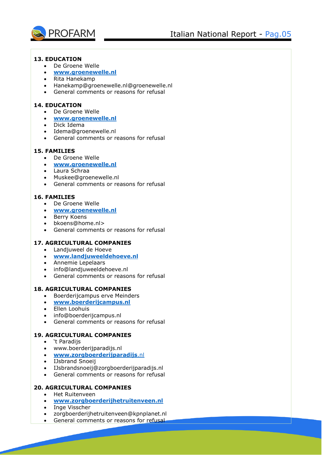

## **13. EDUCATION**

- De Groene Welle
- **[www.groenewelle.nl](http://www.groenewelle.nl/)**
- Rita Hanekamp
- Hanekamp@groenewelle.nl@groenewelle.nl
- General comments or reasons for refusal

## **14. EDUCATION**

- De Groene Welle
- **[www.groenewelle.nl](http://www.groenewelle.nl/)**
- Dick Idema
- Idema@groenewelle.nl
- General comments or reasons for refusal

## **15. FAMILIES**

- De Groene Welle
- **[www.groenewelle.nl](http://www.groenewelle.nl/)**
- Laura Schraa
- Muskee@groenewelle.nl
- General comments or reasons for refusal

## **16. FAMILIES**

- De Groene Welle
- **[www.groenewelle.nl](http://www.groenewelle.nl/)**
- Berry Koens
- bkoens@home.nl>
- General comments or reasons for refusal

## **17. AGRICULTURAL COMPANIES**

- Landjuweel de Hoeve
- **[www.landjuweeldehoeve.nl](http://www.landjuweeldehoeve.nl/)**
- Annemie Lepelaars
- info@landjuweeldehoeve.nl
- General comments or reasons for refusal

## **18. AGRICULTURAL COMPANIES**

- Boerderijcampus erve Meinders
- **[www.boerderijcampus.nl](http://www.boerderijcampus.nl/)**
- Ellen Loohuis
- info@boerderijcampus.nl
- General comments or reasons for refusal

## **19. AGRICULTURAL COMPANIES**

- 't Paradijs
- www.boerderijparadijs.nl
- **[www.zorgboerderijparadijs](http://www.zorgboerderijparadijs.nl/)**.nl
- IJsbrand Snoeij
- IJsbrandsnoeij@zorgboerderijparadijs.nl
- General comments or reasons for refusal

## **20. AGRICULTURAL COMPANIES**

- Het Ruitenveen
- **[www.zorgboerderijhetruitenveen.nl](http://www.zorgboerderijhetruitenveen.nl/)**
- Inge Visscher
- zorgboerderijhetruitenveen@kpnplanet.nl
- General comments or reasons for refusal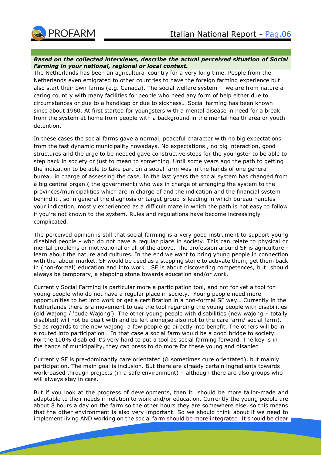

#### *Based on the collected interviews, describe the actual perceived situation of Social Farming in your national, regional or local context.*

The Netherlands has been an agricultural country for a very long time. People from the Netherlands even emigrated to other countries to have the foreign farming experience but also start their own farms (e.g. Canada). The social welfare system - we are from nature a caring country with many facilities for people who need any form of help either due to circumstances or due to a handicap or due to sickness… Social farming has been known since about 1960. At first started for youngsters with a mental disease in need for a break from the system at home from people with a background in the mental health area or youth detention.

In these cases the social farms gave a normal, peaceful character with no big expectations from the fast dynamic municipality nowadays. No expectations , no big interaction, good structures and the urge to be needed gave constructive steps for the youngster to be able to step back in society or just to mean to something. Until some years ago the path to getting the indication to be able to take part on a social farm was in the hands of one general bureau in charge of assessing the case. In the last years the social system has changed from a big central organ ( the government) who was in charge of arranging the system to the provinces/municipalities which are in charge of and the indication and the financial system behind it , so in general the diagnosis or target group is leading in which bureau handles your indication, mostly experienced as a difficult maze in which the path is not easy to follow if you're not known to the system. Rules and regulations have become increasingly complicated.

The perceived opinion is still that social farming is a very good instrument to support young disabled people - who do not have a regular place in society. This can relate to physical or mental problems or motivational or all of the above. The profession around SF is agriculture learn about the nature and cultures. In the end we want to bring young people in connection with the labour market. SF would be used as a stepping stone to activate them, get them back in (non-formal) education and into work… SF is about discovering competences, but should always be temporary, a stepping stone towards education and/or work.

Currently Social Farming is particular more a participation tool, and not for yet a tool for young people who do not have a regular place in society. Young people need more opportunities to het into work or get a certification in a non-formal SF way… Currently in the Netherlands there is a movement to use the tool regarding the young people with disabilities (old Wajong / 'oude Wajong'). The other young people with disabilities (new wajong – totally disabled) will not be dealt with and be left alone(so also not to the care farm/ social farm). So as regards to the new wajong a few people go directly into benefit. The others will be in a routed into participation… In that case a social farm would be a good bridge to society… For the 100% disabled it's very hard to put a tool as social farming forward. The key is in the hands of municipality, they can press to do more for these young and disabled

Currently SF is pre-dominantly care orientated (& sometimes cure orientated), but mainly participation. The main goal is inclusion. But there are already certain ingredients towards work-based through projects (in a safe environment) – although there are also groups who will always stay in care.

But if you look at the progress of developments, then it should be more tailor-made and adaptable to their needs in relation to work and/or education. Currently the young people are about 8 hours a day on the farm so the other hours they are somewhere else, so this means that the other environment is also very important. So we should think about if we need to implement living AND working on the social farm should be more integrated. It should be clear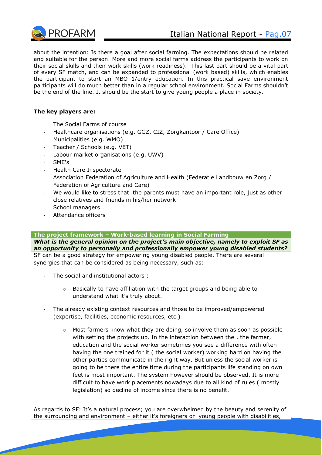

about the intention: Is there a goal after social farming. The expectations should be related and suitable for the person. More and more social farms address the participants to work on their social skills and their work skills (work readiness). This last part should be a vital part of every SF match, and can be expanded to professional (work based) skills, which enables the participant to start an MBO 1/entry education. In this practical save environment participants will do much better than in a regular school environment. Social Farms shouldn't be the end of the line. It should be the start to give young people a place in society.

## **The key players are:**

- The Social Farms of course
- Healthcare organisations (e.g. GGZ, CIZ, Zorgkantoor / Care Office)
- Municipalities (e.g. WMO)
- Teacher / Schools (e.g. VET)
- Labour market organisations (e.g. UWV)
- SME's
- Health Care Inspectorate
- Association Federation of Agriculture and Health (Federatie Landbouw en Zorg / Federation of Agriculture and Care)
- We would like to stress that the parents must have an important role, just as other close relatives and friends in his/her network
- School managers
- Attendance officers

#### **The project framework – Work-based learning in Social Farming**

*What is the general opinion on the project's main objective, namely to exploit SF as an opportunity to personally and professionally empower young disabled students?*  SF can be a good strategy for empowering young disabled people. There are several synergies that can be considered as being necessary, such as:

- The social and institutional actors :
	- o Basically to have affiliation with the target groups and being able to understand what it's truly about.
- The already existing context resources and those to be improved/empowered (expertise, facilities, economic resources, etc.)
	- $\circ$  Most farmers know what they are doing, so involve them as soon as possible with setting the projects up. In the interaction between the, the farmer, education and the social worker sometimes you see a difference with often having the one trained for it ( the social worker) working hard on having the other parties communicate in the right way. But unless the social worker is going to be there the entire time during the participants life standing on own feet is most important. The system however should be observed. It is more difficult to have work placements nowadays due to all kind of rules ( mostly legislation) so decline of income since there is no benefit.

As regards to SF: It's a natural process; you are overwhelmed by the beauty and serenity of the surrounding and environment – either it's foreigners or young people with disabilities,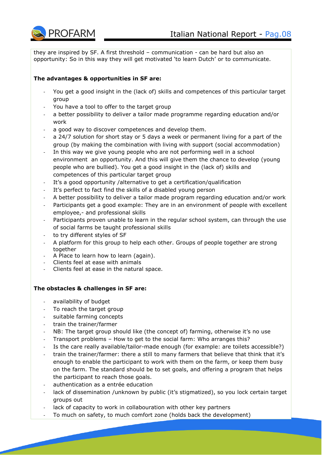

they are inspired by SF. A first threshold – communication - can be hard but also an opportunity: So in this way they will get motivated 'to learn Dutch' or to communicate.

## **The advantages & opportunities in SF are:**

- You get a good insight in the (lack of) skills and competences of this particular target group
- You have a tool to offer to the target group
- a better possibility to deliver a tailor made programme regarding education and/or work
- a good way to discover competences and develop them.
- a 24/7 solution for short stay or 5 days a week or permanent living for a part of the group (by making the combination with living with support (social accommodation)
- In this way we give young people who are not performing well in a school environment an opportunity. And this will give them the chance to develop (young people who are bullied). You get a good insight in the (lack of) skills and competences of this particular target group
- It's a good opportunity /alternative to get a certification/qualification
- It's perfect to fact find the skills of a disabled young person
- A better possibility to deliver a tailor made program regarding education and/or work
- Participants get a good example: They are in an environment of people with excellent employee,- and professional skills
- Participants proven unable to learn in the regular school system, can through the use of social farms be taught professional skills
- to try different styles of SF
- A platform for this group to help each other. Groups of people together are strong together
- A Place to learn how to learn (again).
- Clients feel at ease with animals
- Clients feel at ease in the natural space.

## **The obstacles & challenges in SF are:**

- availability of budget
- To reach the target group
- suitable farming concepts
- train the trainer/farmer
- NB: The target group should like (the concept of) farming, otherwise it's no use
- Transport problems How to get to the social farm: Who arranges this?
- Is the care really available/tailor-made enough (for example: are toilets accessible?)
- train the trainer/farmer: there a still to many farmers that believe that think that it's enough to enable the participant to work with them on the farm, or keep them busy on the farm. The standard should be to set goals, and offering a program that helps the participant to reach those goals.
- authentication as a entrée education
- lack of dissemination /unknown by public (it's stigmatized), so you lock certain target groups out
- lack of capacity to work in collabouration with other key partners
- To much on safety, to much comfort zone (holds back the development)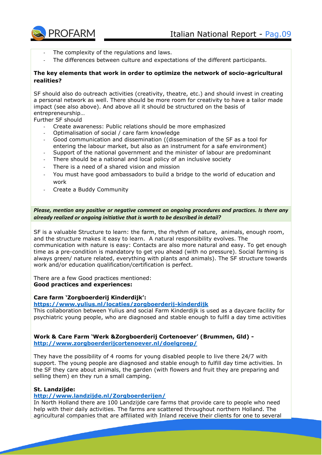

- The complexity of the regulations and laws.
- The differences between culture and expectations of the different participants.

## **The key elements that work in order to optimize the network of socio-agricultural realities?**

SF should also do outreach activities (creativity, theatre, etc.) and should invest in creating a personal network as well. There should be more room for creativity to have a tailor made impact (see also above). And above all it should be structured on the basis of entrepreneurship…

Further SF should

- Create awareness: Public relations should be more emphasized
- Optimalisation of social / care farm knowledge
- Good communication and dissemination ((dissemination of the SF as a tool for entering the labour market, but also as an instrument for a safe environment)
- Support of the national government and the minister of labour are predominant
- There should be a national and local policy of an inclusive society
- There is a need of a shared vision and mission
- You must have good ambassadors to build a bridge to the world of education and work
- Create a Buddy Community

*Please, mention any positive or negative comment on ongoing procedures and practices. Is there any already realized or ongoing initiative that is worth to be described in detail?*

SF is a valuable Structure to learn: the farm, the rhythm of nature, animals, enough room, and the structure makes it easy to learn. A natural responsibility evolves. The communication with nature is easy: Contacts are also more natural and easy. To get enough time as a pre-condition is mandatory to get you ahead (with no pressure). Social farming is always green/ nature related, everything with plants and animals). The SF structure towards work and/or education qualification/certification is perfect.

There are a few Good practices mentioned: **Good practices and experiences:**

#### **Care farm 'Zorgboerderij Kinderdijk':**

## **<https://www.yulius.nl/locaties/zorgboerderij-kinderdijk>**

This collaboration between Yulius and social Farm Kinderdijk is used as a daycare facility for psychiatric young people, who are diagnosed and stable enough to fulfil a day time activities

**Work & Care Farm 'Werk &Zorgboerderij Cortenoever' (Brummen, Gld) <http://www.zorgboerderijcortenoever.nl/doelgroep/>**

They have the possibility of 4 rooms for young disabled people to live there 24/7 with support. The young people are diagnosed and stable enough to fulfill day time activities. In the SF they care about animals, the garden (with flowers and fruit they are preparing and selling them) en they run a small camping.

#### **St. Landzijde:**

#### **<http://www.landzijde.nl/Zorgboerderijen/>**

In North Holland there are 100 Landzijde care farms that provide care to people who need help with their daily activities. The farms are scattered throughout northern Holland. The agricultural companies that are affiliated with Inland receive their clients for one to several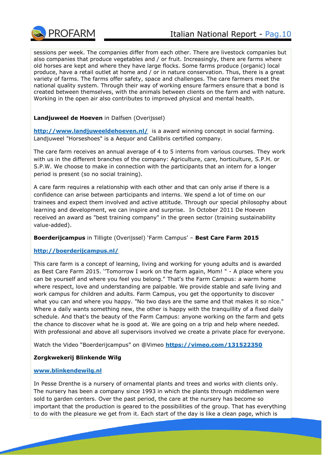

sessions per week. The companies differ from each other. There are livestock companies but also companies that produce vegetables and / or fruit. Increasingly, there are farms where old horses are kept and where they have large flocks. Some farms produce (organic) local produce, have a retail outlet at home and / or in nature conservation. Thus, there is a great variety of farms. The farms offer safety, space and challenges. The care farmers meet the national quality system. Through their way of working ensure farmers ensure that a bond is created between themselves, with the animals between clients on the farm and with nature. Working in the open air also contributes to improved physical and mental health.

## **Landjuweel de Hoeven** in Dalfsen (Overijssel)

**<http://www.landjuweeldehoeven.nl/>** is a award winning concept in social farming. Landjuweel "Horseshoes" is a Aequor and Callibris certified company.

The care farm receives an annual average of 4 to 5 interns from various courses. They work with us in the different branches of the company: Agriculture, care, horticulture, S.P.H. or S.P.W. We choose to make in connection with the participants that an intern for a longer period is present (so no social training).

A care farm requires a relationship with each other and that can only arise if there is a confidence can arise between participants and interns. We spend a lot of time on our trainees and expect them involved and active attitude. Through our special philosophy about learning and development, we can inspire and surprise. In October 2011 De Hoeven received an award as "best training company" in the green sector (training sustainability value-added).

## **Boerderijcampus** in Tilligte (Overijssel) 'Farm Campus' – **Best Care Farm 2015**

## **<http://boerderijcampus.nl/>**

This care farm is a concept of learning, living and working for young adults and is awarded as Best Care Farm 2015. ''Tomorrow I work on the farm again, Mom! " - A place where you can be yourself and where you feel you belong." That's the Farm Campus: a warm home where respect, love and understanding are palpable. We provide stable and safe living and work campus for children and adults. Farm Campus, you get the opportunity to discover what you can and where you happy. "No two days are the same and that makes it so nice." Where a daily wants something new, the other is happy with the tranquillity of a fixed daily schedule. And that's the beauty of the Farm Campus: anyone working on the farm and gets the chance to discover what he is good at. We are going on a trip and help where needed. With professional and above all supervisors involved we create a private place for everyone.

Watch the Video "Boerderijcampus" on @Vimeo **<https://vimeo.com/131522350>**

## **Zorgkwekerij Blinkende Wilg**

## **[www.blinkendewilg.nl](http://www.blinkendewilg.nl/)**

In Pesse Drenthe is a nursery of ornamental plants and trees and works with clients only. The nursery has been a company since 1993 in which the plants through middlemen were sold to garden centers. Over the past period, the care at the nursery has become so important that the production is geared to the possibilities of the group. That has everything to do with the pleasure we get from it. Each start of the day is like a clean page, which is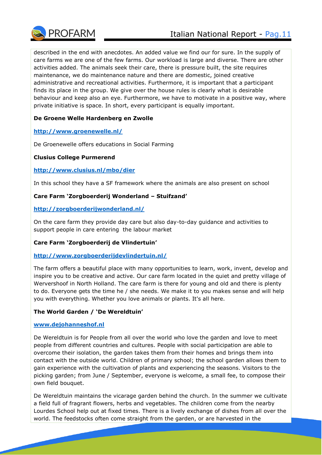

described in the end with anecdotes. An added value we find our for sure. In the supply of care farms we are one of the few farms. Our workload is large and diverse. There are other activities added. The animals seek their care, there is pressure built, the site requires maintenance, we do maintenance nature and there are domestic, joined creative administrative and recreational activities. Furthermore, it is important that a participant finds its place in the group. We give over the house rules is clearly what is desirable behaviour and keep also an eye. Furthermore, we have to motivate in a positive way, where private initiative is space. In short, every participant is equally important.

## **De Groene Welle Hardenberg en Zwolle**

## **<http://www.groenewelle.nl/>**

De Groenewelle offers educations in Social Farming

## **Clusius College Purmerend**

## **<http://www.clusius.nl/mbo/dier>**

In this school they have a SF framework where the animals are also present on school

## **Care Farm 'Zorgboerderij Wonderland – Stuifzand'**

## **<http://zorgboerderijwonderland.nl/>**

On the care farm they provide day care but also day-to-day guidance and activities to support people in care entering the labour market

## **Care Farm 'Zorgboerderij de Vlindertuin'**

## **<http://www.zorgboerderijdevlindertuin.nl/>**

The farm offers a beautiful place with many opportunities to learn, work, invent, develop and inspire you to be creative and active. Our care farm located in the quiet and pretty village of Wervershoof in North Holland. The care farm is there for young and old and there is plenty to do. Everyone gets the time he / she needs. We make it to you makes sense and will help you with everything. Whether you love animals or plants. It's all here.

## **The World Garden / 'De Wereldtuin'**

## **[www.dejohanneshof.nl](http://www.dejohanneshof.nl/)**

De Wereldtuin is for People from all over the world who love the garden and love to meet people from different countries and cultures. People with social participation are able to overcome their isolation, the garden takes them from their homes and brings them into contact with the outside world. Children of primary school; the school garden allows them to gain experience with the cultivation of plants and experiencing the seasons. Visitors to the picking garden; from June / September, everyone is welcome, a small fee, to compose their own field bouquet.

De Wereldtuin maintains the vicarage garden behind the church. In the summer we cultivate a field full of fragrant flowers, herbs and vegetables. The children come from the nearby Lourdes School help out at fixed times. There is a lively exchange of dishes from all over the world. The feedstocks often come straight from the garden, or are harvested in the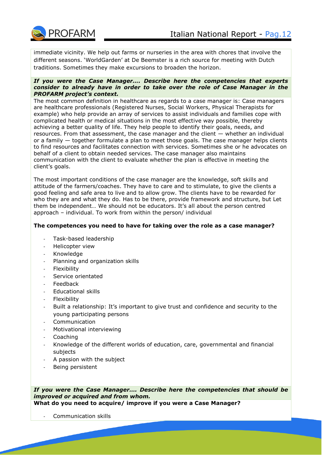

immediate vicinity. We help out farms or nurseries in the area with chores that involve the different seasons. 'WorldGarden' at De Beemster is a rich source for meeting with Dutch traditions. Sometimes they make excursions to broaden the horizon.

#### *If you were the Case Manager…. Describe here the competencies that experts consider to already have in order to take over the role of Case Manager in the PROFARM project's context.*

The most common definition in healthcare as regards to a case manager is: Case managers are healthcare professionals (Registered Nurses, Social Workers, Physical Therapists for example) who help provide an array of services to assist individuals and families cope with complicated health or medical situations in the most effective way possible, thereby achieving a better quality of life. They help people to identify their goals, needs, and resources. From that assessment, the case manager and the client — whether an individual or a family — together formulate a plan to meet those goals. The case manager helps clients to find resources and facilitates connection with services. Sometimes she or he advocates on behalf of a client to obtain needed services. The case manager also maintains communication with the client to evaluate whether the plan is effective in meeting the client's goals.

The most important conditions of the case manager are the knowledge, soft skills and attitude of the farmers/coaches. They have to care and to stimulate, to give the clients a good feeling and safe area to live and to allow grow. The clients have to be rewarded for who they are and what they do. Has to be there, provide framework and structure, but Let them be independent… We should not be educators. It's all about the person centred approach – individual. To work from within the person/ individual

#### **The competences you need to have for taking over the role as a case manager?**

- Task-based leadership
- Helicopter view
- Knowledge
- Planning and organization skills
- **Flexibility**
- Service orientated
- **Feedback**
- Educational skills
- **Flexibility**
- Built a relationship: It's important to give trust and confidence and security to the young participating persons
- **Communication**
- Motivational interviewing
- Coaching
- Knowledge of the different worlds of education, care, governmental and financial subjects
- A passion with the subject
- Being persistent

*If you were the Case Manager…. Describe here the competencies that should be improved or acquired and from whom.*

**What do you need to acquire/ improve if you were a Case Manager?**

Communication skills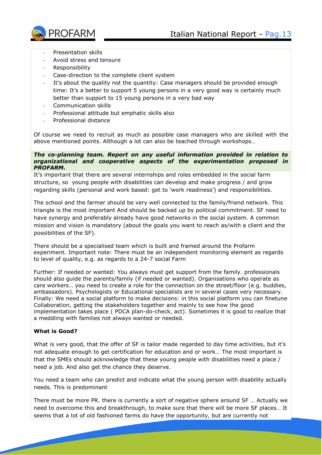

- Presentation skills
- Avoid stress and tensure
- Responsibility
- Case-direction to the complete client system
- It's about the quality not the quantity: Case managers should be provided enough time: It's a better to support 5 young persons in a very good way is certainly much better than support to 15 young persons in a very bad way
- Communication skills
- Professional attitude but emphatic skills also
- Professional distance

Of course we need to recruit as much as possible case managers who are skilled with the above mentioned points. Although a lot can also be teached through workshops…

#### *The co-planning team. Report on any useful information provided in relation to organizational and cooperative aspects of the experimentation proposed in PROFARM.*

It's important that there are several internships and roles embedded in the social farm structure, so young people with disabilities can develop and make progress / and grow regarding skills (personal and work based: get to 'work readiness') and responsibilities.

The school and the farmer should be very well connected to the family/friend network. This triangle is the most important And should be backed up by political commitment. SF need to have synergy and preferably already have good networks in the social system. A common mission and vision is mandatory (about the goals you want to reach as/with a client and the possibilities of the SF).

There should be a specialised team which is built and framed around the Profarm experiment. Important note: There must be an independent monitoring element as regards to level of quality, e.g. as regards to a 24-7 social Farm

Further: If needed or wanted: You always must get support from the family. professionals should also guide the parents/family (if needed or wanted). Organisations who operate as care workers… you need to create a role for the connection on the street/floor (e.g. buddies, ambassadors). Psychologists or Educational specialists are in several cases very necessary. Finally: We need a social platform to make decisions: in this social platform you can finetune Collaboration, getting the stakeholders together and mainly to see how the good implementation takes place ( PDCA plan-do-check, act). Sometimes it is good to realize that a meddling with families not always wanted or needed.

## **What is Good?**

What is very good, that the offer of SF is tailor made regarded to day time activities, but it's not adequate enough to get certification for education and or work… The most important is that the SMEs should acknowledge that these young people with disabilities need a place / need a job. And also get the chance they deserve.

You need a team who can predict and indicate what the young person with disability actually needs. This is predominant

There must be more PR. there is currently a sort of negative sphere around SF … Actually we need to overcome this and breakthrough, to make sure that there will be more SF places… It seems that a lot of old fashioned farms do have the opportunity, but are currently not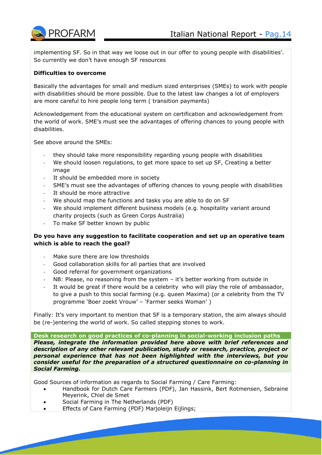

implementing SF. So in that way we loose out in our offer to young people with disabilities'. So currently we don't have enough SF resources

## **Difficulties to overcome**

Basically the advantages for small and medium sized enterprises (SMEs) to work with people with disabilities should be more possible. Due to the latest law changes a lot of employers are more careful to hire people long term ( transition payments)

Acknowledgement from the educational system on certification and acknowledgement from the world of work. SME's must see the advantages of offering chances to young people with disabilities.

See above around the SMEs:

- they should take more responsibility regarding young people with disabilities
- We should loosen regulations, to get more space to set up SF, Creating a better image
- It should be embedded more in society
- SME's must see the advantages of offering chances to young people with disabilities
- It should be more attractive
- We should map the functions and tasks you are able to do on SF
- We should implement different business models (e.g. hospitality variant around charity projects (such as Green Corps Australia)
- To make SF better known by public

## **Do you have any suggestion to facilitate cooperation and set up an operative team which is able to reach the goal?**

- Make sure there are low thresholds
- Good collaboration skills for all parties that are involved
- Good referral for government organizations
- NB: Please, no reasoning from the system it's better working from outside in
- It would be great if there would be a celebrity who will play the role of ambassador, to give a push to this social farming (e.g. queen Maxima) (or a celebrity from the TV programme 'Boer zoekt Vrouw' – 'Farmer seeks Woman' )

Finally: It's very important to mention that SF is a temporary station, the aim always should be (re-)entering the world of work. So called stepping stones to work.

**Desk research on good practices of co-planning in social-working inclusion paths** *Please, integrate the information provided here above with brief references and description of any other relevant publication, study or research, practice, project or personal experience that has not been highlighted with the interviews, but you consider useful for the preparation of a structured questionnaire on co-planning in Social Farming.*

Good Sources of information as regards to Social Farming / Care Farming:

- Handbook for Dutch Care Farmers (PDF), Jan Hassink, Bert Rotmensen, Sebraine Meyerink, Chiel de Smet
- Social Farming in The Netherlands (PDF)
- Effects of Care Farming (PDF) Marjoleijn Eijlings;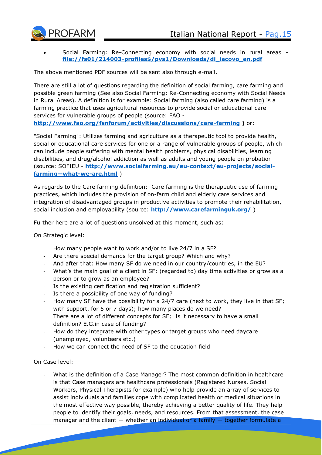

 Social Farming: Re-Connecting economy with social needs in rural areas **[file://fs01/214003-profiles\\$/pvs1/Downloads/di\\_iacovo\\_en.pdf](file://///fs01/214003-profiles$/pvs1/Downloads/di_iacovo_en.pdf)**

The above mentioned PDF sources will be sent also through e-mail.

There are still a lot of questions regarding the definition of social farming, care farming and possible green farming (See also Social Farming: Re-Connecting economy with Social Needs in Rural Areas). A definition is for example: Social farming (also called care farming) is a farming practice that uses agricultural resources to provide social or educational care services for vulnerable groups of people (source: FAO -

**<http://www.fao.org/fsnforum/activities/discussions/care-farming> )** or:

"Social Farming": Utilizes farming and agriculture as a therapeutic tool to provide health, social or educational care services for one or a range of vulnerable groups of people, which can include people suffering with mental health problems, physical disabilities, learning disabilities, and drug/alcohol addiction as well as adults and young people on probation (source: SOFIEU - **[http://www.socialfarming.eu/eu-context/eu-projects/social](http://www.socialfarming.eu/eu-context/eu-projects/social-farming--what-we-are.html)[farming--what-we-are.html](http://www.socialfarming.eu/eu-context/eu-projects/social-farming--what-we-are.html)** )

As regards to the Care farming definition: Care farming is the therapeutic use of farming practices, which includes the provision of on-farm child and elderly care services and integration of disadvantaged groups in productive activities to promote their rehabilitation, social inclusion and employability (source: **<http://www.carefarminguk.org/>** )

Further here are a lot of questions unsolved at this moment, such as:

On Strategic level:

- How many people want to work and/or to live 24/7 in a SF?
- Are there special demands for the target group? Which and why?
- And after that: How many SF do we need in our country/countries, in the EU?
- What's the main goal of a client in SF: (regarded to) day time activities or grow as a person or to grow as an employee?
- Is the existing certification and registration sufficient?
- Is there a possibility of one way of funding?
- How many SF have the possibility for a 24/7 care (next to work, they live in that SF; with support, for 5 or 7 days); how many places do we need?
- There are a lot of different concepts for SF; Is it necessary to have a small definition? E.G.in case of funding?
- How do they integrate with other types or target groups who need daycare (unemployed, volunteers etc.)
- How we can connect the need of SF to the education field

On Case level:

What is the definition of a Case Manager? The most common definition in healthcare is that Case managers are healthcare professionals (Registered Nurses, Social Workers, Physical Therapists for example) who help provide an array of services to assist individuals and families cope with complicated health or medical situations in the most effective way possible, thereby achieving a better quality of life. They help people to identify their goals, needs, and resources. From that assessment, the case manager and the client  $-$  whether an individual or a family  $-$  together formulate a